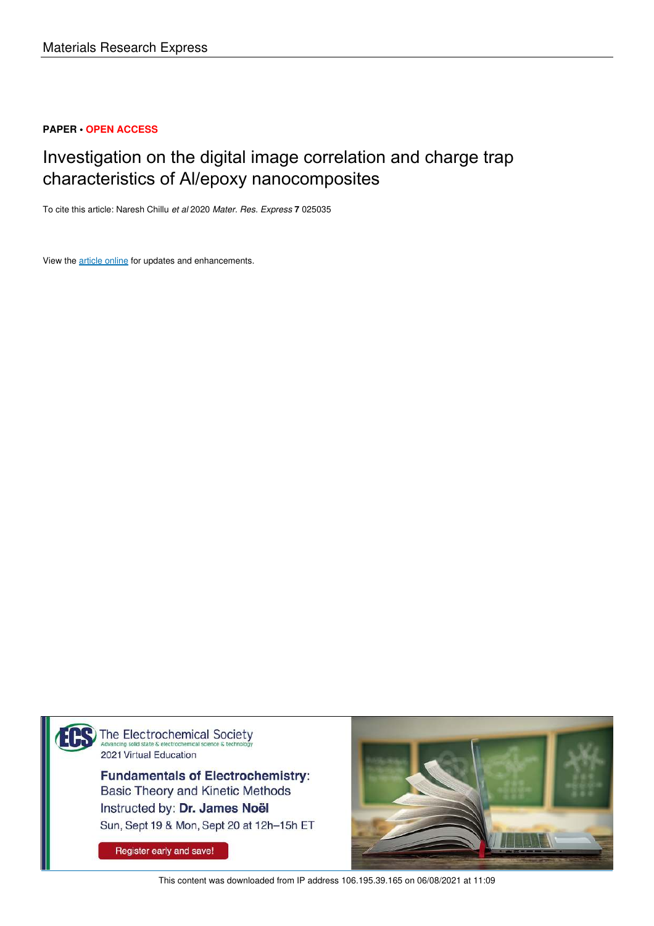## **PAPER • OPEN ACCESS**

# Investigation on the digital image correlation and charge trap characteristics of Al/epoxy nanocomposites

To cite this article: Naresh Chillu et al 2020 Mater. Res. Express **7** 025035

View the article online for updates and enhancements.

The Electrochemical Society 2021 Virtual Education

> **Fundamentals of Electrochemistry: Basic Theory and Kinetic Methods** Instructed by: Dr. James Noël Sun, Sept 19 & Mon, Sept 20 at 12h-15h ET

Register early and save!



This content was downloaded from IP address 106.195.39.165 on 06/08/2021 at 11:09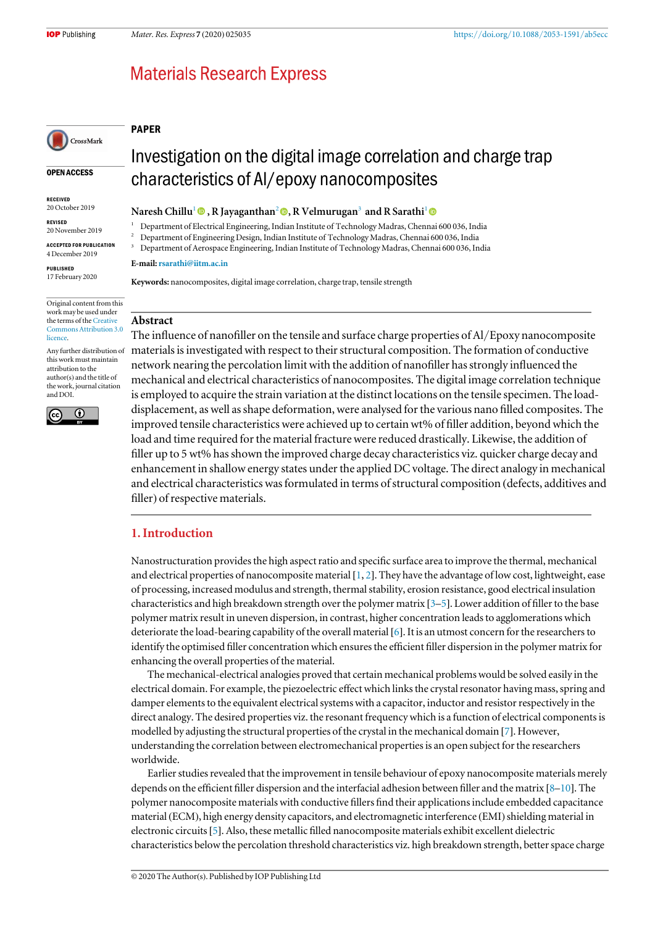## **Materials Research Express**

#### PAPER

OPEN ACCESS

CrossMark

RECEIVED 20 October 2019

REVISED 20 November 2019

ACCEPTED FOR PUBLICATION

4 December 2019

PUBLISHED 17 February 2020

Original content from this work may be used under the terms of the Creative Commons Attribution 3.0 **licence** 

Any further distribution of this work must maintain attribution to the author(s) and the title of the work, journal citation and DOI.



Investigation on the digital image correlation and charge trap characteristics of Al/epoxy nanocomposites

Naresh Chillu $^1\text{\textcircled{e}}$  , R Jayaganthan $^2\text{\textcircled{e}}$  , R Velmurugan $^3$  and R Sarathi $^1$ 

<sup>1</sup> Department of Electrical Engineering, Indian Institute of Technology Madras, Chennai 600 036, India<br><sup>2</sup> Department of Engineering Design, Indian Institute of Technology Madras, Chennai 600 036, India

<sup>2</sup> Department of Engineering Design, Indian Institute of Technology Madras, Chennai 600 036, India<br><sup>3</sup> Department of Aerospace Engineering Indian Institute of Technology Madras, Chennai 600 036, In

<sup>3</sup> Department of Aerospace Engineering, Indian Institute of Technology Madras, Chennai 600 036, India

E-mail:rsarathi@iitm.ac.in

Keywords: nanocomposites, digital image correlation, charge trap, tensile strength

## Abstract

The influence of nanofiller on the tensile and surface charge properties of Al/Epoxy nanocomposite materials is investigated with respect to their structural composition. The formation of conductive network nearing the percolation limit with the addition of nanofiller has strongly influenced the mechanical and electrical characteristics of nanocomposites. The digital image correlation technique is employed to acquire the strain variation at the distinct locations on the tensile specimen. The loaddisplacement, as well as shape deformation, were analysed for the various nano filled composites. The improved tensile characteristics were achieved up to certain wt% of filler addition, beyond which the load and time required for the material fracture were reduced drastically. Likewise, the addition of filler up to 5 wt% has shown the improved charge decay characteristics viz. quicker charge decay and enhancement in shallow energy states under the applied DC voltage. The direct analogy in mechanical and electrical characteristics was formulated in terms of structural composition (defects, additives and filler) of respective materials.

## 1. Introduction

Nanostructuration provides the high aspect ratio and specific surface area to improve the thermal, mechanical and electrical properties of nanocomposite material [1, 2]. They have the advantage of low cost, lightweight, ease of processing, increased modulus and strength, thermal stability, erosion resistance, good electrical insulation characteristics and high breakdown strength over the polymer matrix [3–5]. Lower addition of filler to the base polymer matrix result in uneven dispersion, in contrast, higher concentration leads to agglomerations which deteriorate the load-bearing capability of the overall material [6]. It is an utmost concern for the researchers to identify the optimised filler concentration which ensures the efficient filler dispersion in the polymer matrix for enhancing the overall properties of the material.

The mechanical-electrical analogies proved that certain mechanical problems would be solved easily in the electrical domain. For example, the piezoelectric effect which links the crystal resonator having mass, spring and damper elements to the equivalent electrical systems with a capacitor, inductor and resistor respectively in the direct analogy. The desired properties viz. the resonant frequency which is a function of electrical components is modelled by adjusting the structural properties of the crystal in the mechanical domain [7]. However, understanding the correlation between electromechanical properties is an open subject for the researchers worldwide.

Earlier studies revealed that the improvement in tensile behaviour of epoxy nanocomposite materials merely depends on the efficient filler dispersion and the interfacial adhesion between filler and the matrix  $[8-10]$ . The polymer nanocomposite materials with conductive fillers find their applications include embedded capacitance material (ECM), high energy density capacitors, and electromagnetic interference (EMI) shielding material in electronic circuits[5]. Also, these metallic filled nanocomposite materials exhibit excellent dielectric characteristics below the percolation threshold characteristics viz. high breakdown strength, better space charge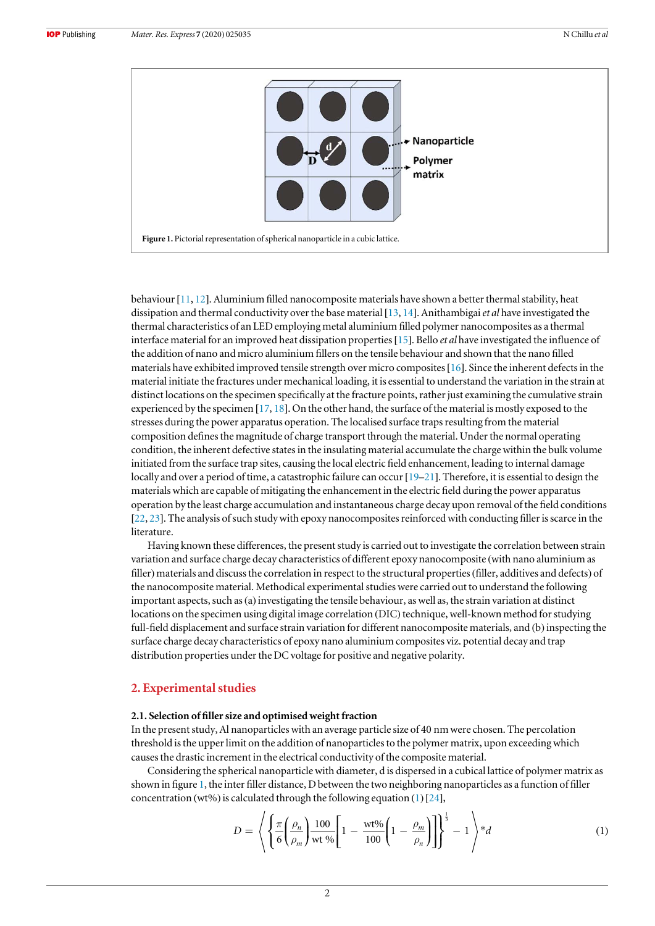

behaviour [11, 12]. Aluminium filled nanocomposite materials have shown a better thermal stability, heat dissipation and thermal conductivity over the base material[13, 14]. Anithambigai*et al* have investigated the thermal characteristics of an LED employing metal aluminium filled polymer nanocomposites as a thermal interface material for an improved heat dissipation properties[15]. Bello *et al* have investigated the influence of the addition of nano and micro aluminium fillers on the tensile behaviour and shown that the nano filled materials have exhibited improved tensile strength over micro composites[16]. Since the inherent defects in the material initiate the fractures under mechanical loading, it is essential to understand the variation in the strain at distinct locations on the specimen specifically at the fracture points, rather just examining the cumulative strain experienced by the specimen [17, 18]. On the other hand, the surface of the material is mostly exposed to the stresses during the power apparatus operation. The localised surface traps resulting from the material composition defines the magnitude of charge transport through the material. Under the normal operating condition, the inherent defective states in the insulating material accumulate the charge within the bulk volume initiated from the surface trap sites, causing the local electric field enhancement, leading to internal damage locally and over a period of time, a catastrophic failure can occur  $[19–21]$ . Therefore, it is essential to design the materials which are capable of mitigating the enhancement in the electric field during the power apparatus operation by the least charge accumulation and instantaneous charge decay upon removal of the field conditions [22, 23]. The analysis of such study with epoxy nanocomposites reinforced with conducting filler is scarce in the literature.

Having known these differences, the present study is carried out to investigate the correlation between strain variation and surface charge decay characteristics of different epoxy nanocomposite (with nano aluminium as filler) materials and discuss the correlation in respect to the structural properties(filler, additives and defects) of the nanocomposite material. Methodical experimental studies were carried out to understand the following important aspects, such as(a) investigating the tensile behaviour, as well as, the strain variation at distinct locations on the specimen using digital image correlation (DIC) technique, well-known method for studying full-field displacement and surface strain variation for different nanocomposite materials, and (b) inspecting the surface charge decay characteristics of epoxy nano aluminium composites viz. potential decay and trap distribution properties under the DC voltage for positive and negative polarity.

#### 2. Experimental studies

#### 2.1. Selection of filler size and optimised weight fraction

In the present study, Al nanoparticles with an average particle size of 40 nm were chosen. The percolation threshold is the upper limit on the addition of nanoparticles to the polymer matrix, upon exceeding which causes the drastic increment in the electrical conductivity of the composite material.

Considering the spherical nanoparticle with diameter, d is dispersed in a cubical lattice of polymer matrix as shown in figure 1, the inter filler distance, D between the two neighboring nanoparticles as a function of filler concentration (wt%) is calculated through the following equation (1) [24],

$$
D = \left\langle \left\{ \frac{\pi}{6} \left( \frac{\rho_n}{\rho_m} \right) \frac{100}{\text{wt } 96} \left[ 1 - \frac{\text{wt } 96}{100} \left( 1 - \frac{\rho_m}{\rho_n} \right) \right] \right\}^{\frac{1}{3}} - 1 \right\rangle * d \tag{1}
$$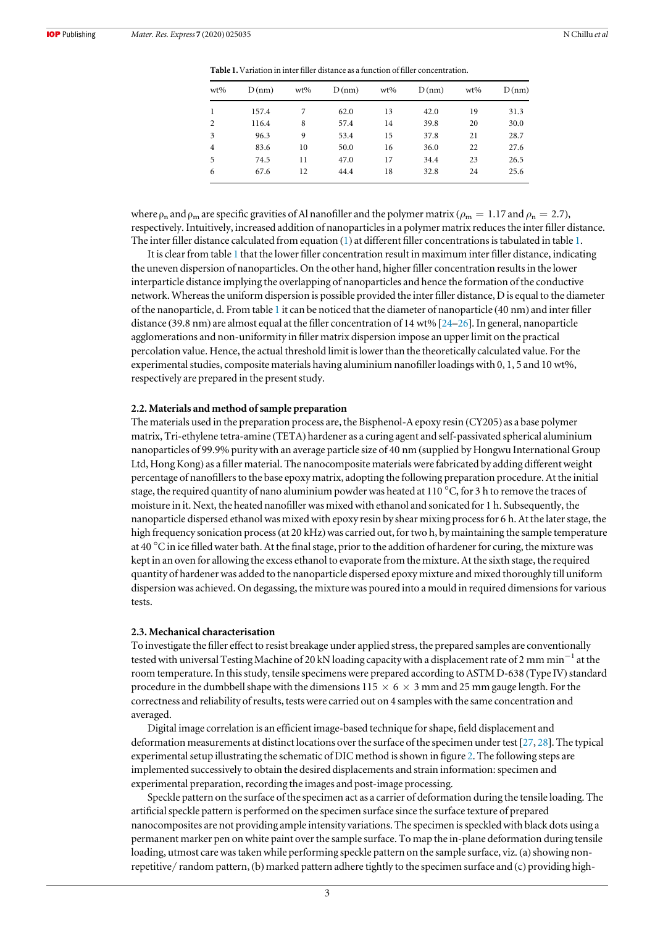Table 1.Variation in inter filler distance as a function of filler concentration.

| $wt\%$         | D(nm) | $wt\%$ | D(nm) | $wt\%$ | D(nm) | $wt\%$ | D(nm) |
|----------------|-------|--------|-------|--------|-------|--------|-------|
|                | 157.4 | 7      | 62.0  | 13     | 42.0  | 19     | 31.3  |
| 2              | 116.4 | 8      | 57.4  | 14     | 39.8  | 20     | 30.0  |
| 3              | 96.3  | 9      | 53.4  | 15     | 37.8  | 21     | 28.7  |
| $\overline{4}$ | 83.6  | 10     | 50.0  | 16     | 36.0  | 22     | 27.6  |
| 5              | 74.5  | 11     | 47.0  | 17     | 34.4  | 23     | 26.5  |
| 6              | 67.6  | 12     | 44.4  | 18     | 32.8  | 24     | 25.6  |

where  $\rho_n$  and  $\rho_m$  are specific gravities of Al nanofiller and the polymer matrix ( $\rho_m = 1.17$  and  $\rho_n = 2.7$ ), respectively. Intuitively, increased addition of nanoparticles in a polymer matrix reduces the inter filler distance. The inter filler distance calculated from equation (1) at different filler concentrations is tabulated in table 1.

It is clear from table 1 that the lower filler concentration result in maximum inter filler distance, indicating the uneven dispersion of nanoparticles. On the other hand, higher filler concentration results in the lower interparticle distance implying the overlapping of nanoparticles and hence the formation of the conductive network. Whereas the uniform dispersion is possible provided the inter filler distance, D is equal to the diameter of the nanoparticle, d. From table 1 it can be noticed that the diameter of nanoparticle (40 nm) and inter filler distance (39.8 nm) are almost equal at the filler concentration of 14 wt% [24–26]. In general, nanoparticle agglomerations and non-uniformity in filler matrix dispersion impose an upper limit on the practical percolation value. Hence, the actual threshold limit is lower than the theoretically calculated value. For the experimental studies, composite materials having aluminium nanofiller loadings with 0, 1, 5 and 10 wt%, respectively are prepared in the present study.

#### 2.2. Materials and method of sample preparation

The materials used in the preparation process are, the Bisphenol-A epoxy resin (CY205) as a base polymer matrix, Tri-ethylene tetra-amine (TETA) hardener as a curing agent and self-passivated spherical aluminium nanoparticles of 99.9% purity with an average particle size of 40 nm (supplied by Hongwu International Group Ltd, Hong Kong) as a filler material. The nanocomposite materials were fabricated by adding different weight percentage of nanofillers to the base epoxy matrix, adopting the following preparation procedure. At the initial stage, the required quantity of nano aluminium powder was heated at 110  $^{\circ}$ C, for 3 h to remove the traces of moisture in it. Next, the heated nanofiller was mixed with ethanol and sonicated for 1 h. Subsequently, the nanoparticle dispersed ethanol was mixed with epoxy resin by shear mixing process for 6 h. At the later stage, the high frequency sonication process (at 20 kHz) was carried out, for two h, by maintaining the sample temperature at 40 °C in ice filled water bath. At the final stage, prior to the addition of hardener for curing, the mixture was kept in an oven for allowing the excess ethanol to evaporate from the mixture. At the sixth stage, the required quantity of hardener was added to the nanoparticle dispersed epoxy mixture and mixed thoroughly till uniform dispersion was achieved. On degassing, the mixture was poured into a mould in required dimensions for various tests.

#### 2.3. Mechanical characterisation

To investigate the filler effect to resist breakage under applied stress, the prepared samples are conventionally tested with universal Testing Machine of 20 kN loading capacity with a displacement rate of 2 mm min−<sup>1</sup> at the room temperature. In this study, tensile specimens were prepared according to ASTM D-638 (Type IV) standard procedure in the dumbbell shape with the dimensions  $115 \times 6 \times 3$  mm and 25 mm gauge length. For the correctness and reliability of results, tests were carried out on 4 samples with the same concentration and averaged.

Digital image correlation is an efficient image-based technique for shape, field displacement and deformation measurements at distinct locations over the surface of the specimen under test [27, 28]. The typical experimental setup illustrating the schematic of DIC method is shown in figure 2. The following steps are implemented successively to obtain the desired displacements and strain information: specimen and experimental preparation, recording the images and post-image processing.

Speckle pattern on the surface of the specimen act as a carrier of deformation during the tensile loading. The artificial speckle pattern is performed on the specimen surface since the surface texture of prepared nanocomposites are not providing ample intensity variations. The specimen is speckled with black dots using a permanent marker pen on white paint over the sample surface. To map the in-plane deformation during tensile loading, utmost care was taken while performing speckle pattern on the sample surface, viz. (a) showing nonrepetitive/ random pattern, (b) marked pattern adhere tightly to the specimen surface and (c) providing high-

3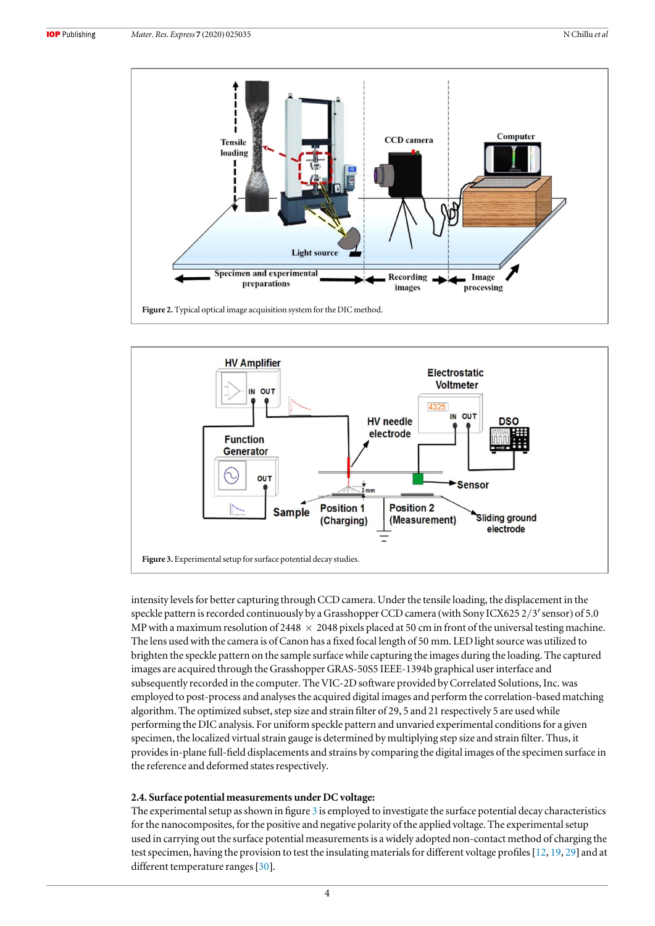



intensity levels for better capturing through CCD camera. Under the tensile loading, the displacement in the speckle pattern is recorded continuously by a Grasshopper CCD camera (with Sony ICX625 2/3' sensor) of 5.0 MP with a maximum resolution of 2448  $\times$  2048 pixels placed at 50 cm in front of the universal testing machine. The lens used with the camera is of Canon has a fixed focal length of 50 mm. LED light source was utilized to brighten the speckle pattern on the sample surface while capturing the images during the loading. The captured images are acquired through the Grasshopper GRAS-50S5 IEEE-1394b graphical user interface and subsequently recorded in the computer. The VIC-2D software provided by Correlated Solutions, Inc. was employed to post-process and analyses the acquired digital images and perform the correlation-based matching algorithm. The optimized subset, step size and strain filter of 29, 5 and 21 respectively 5 are used while performing the DIC analysis. For uniform speckle pattern and unvaried experimental conditions for a given specimen, the localized virtual strain gauge is determined by multiplying step size and strain filter. Thus, it provides in-plane full-field displacements and strains by comparing the digital images of the specimen surface in the reference and deformed states respectively.

#### 2.4. Surface potential measurements under DC voltage:

The experimental setup as shown in figure 3 is employed to investigate the surface potential decay characteristics for the nanocomposites, for the positive and negative polarity of the applied voltage. The experimental setup used in carrying out the surface potential measurements is a widely adopted non-contact method of charging the test specimen, having the provision to test the insulating materials for different voltage profiles [12, 19, 29] and at different temperature ranges [30].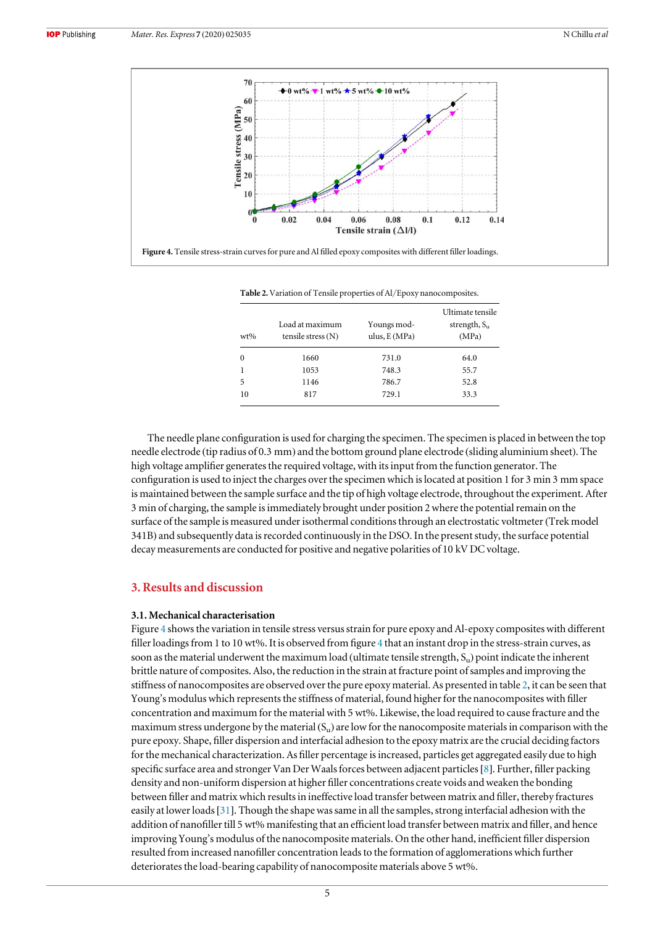

|     | . .                                     |                               |                                                 |
|-----|-----------------------------------------|-------------------------------|-------------------------------------------------|
| wt% | Load at maximum<br>tensile stress $(N)$ | Youngs mod-<br>ulus, $E(MPa)$ | Ultimate tensile<br>strength, $S_{11}$<br>(MPa) |
| 0   | 1660                                    | 731.0                         | 64.0                                            |
|     | 1053                                    | 748.3                         | 55.7                                            |
| 5   | 1146                                    | 786.7                         | 52.8                                            |
| 10  | 817                                     | 729.1                         | 33.3                                            |
|     |                                         |                               |                                                 |

Table 2.Variation of Tensile properties of Al/Epoxy nanocomposites.

The needle plane configuration is used for charging the specimen. The specimen is placed in between the top needle electrode (tip radius of 0.3 mm) and the bottom ground plane electrode (sliding aluminium sheet). The high voltage amplifier generates the required voltage, with its input from the function generator. The configuration is used to inject the charges over the specimen which is located at position 1 for 3 min 3 mm space is maintained between the sample surface and the tip of high voltage electrode, throughout the experiment. After 3 min of charging, the sample is immediately brought under position 2 where the potential remain on the surface of the sample is measured under isothermal conditions through an electrostatic voltmeter (Trek model 341B) and subsequently data is recorded continuously in the DSO. In the present study, the surface potential decay measurements are conducted for positive and negative polarities of 10 kV DC voltage.

## 3. Results and discussion

#### 3.1. Mechanical characterisation

Figure 4 shows the variation in tensile stress versus strain for pure epoxy and Al-epoxy composites with different filler loadings from 1 to 10 wt%. It is observed from figure 4 that an instant drop in the stress-strain curves, as soon as the material underwent the maximum load (ultimate tensile strength, S<sub>u</sub>) point indicate the inherent brittle nature of composites. Also, the reduction in the strain at fracture point of samples and improving the stiffness of nanocomposites are observed over the pure epoxy material. As presented in table 2, it can be seen that Young's modulus which represents the stiffness of material, found higher for the nanocomposites with filler concentration and maximum for the material with 5 wt%. Likewise, the load required to cause fracture and the maximum stress undergone by the material  $(S<sub>u</sub>)$  are low for the nanocomposite materials in comparison with the pure epoxy. Shape, filler dispersion and interfacial adhesion to the epoxy matrix are the crucial deciding factors for the mechanical characterization. As filler percentage is increased, particles get aggregated easily due to high specific surface area and stronger Van Der Waals forces between adjacent particles[8]. Further, filler packing density and non-uniform dispersion at higher filler concentrations create voids and weaken the bonding between filler and matrix which results in ineffective load transfer between matrix and filler, thereby fractures easily at lower loads[31]. Though the shape was same in all the samples, strong interfacial adhesion with the addition of nanofiller till 5 wt% manifesting that an efficient load transfer between matrix and filler, and hence improving Young's modulus of the nanocomposite materials. On the other hand, inefficient filler dispersion resulted from increased nanofiller concentration leads to the formation of agglomerations which further deteriorates the load-bearing capability of nanocomposite materials above 5 wt%.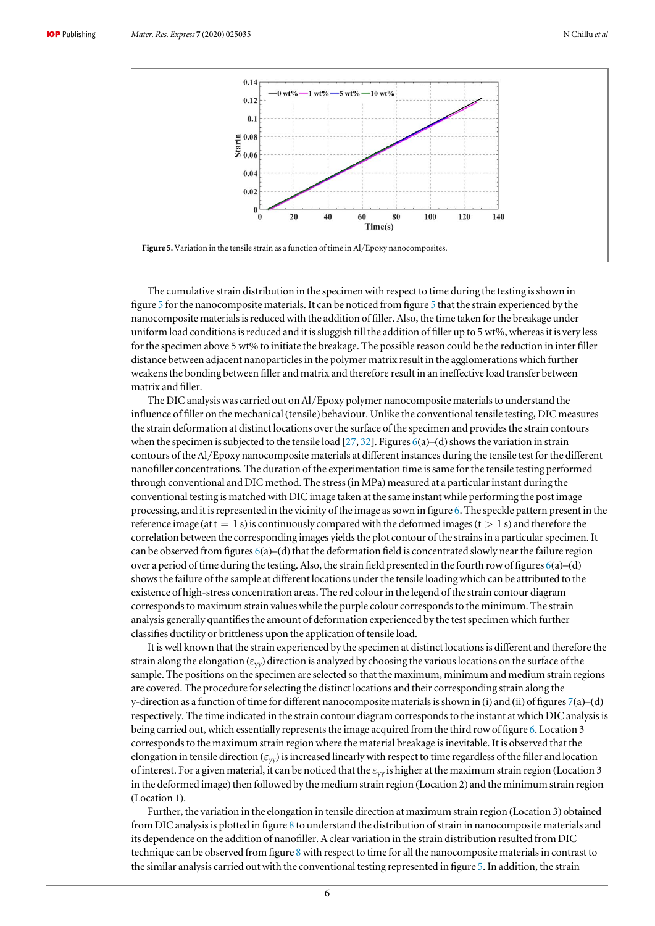

The cumulative strain distribution in the specimen with respect to time during the testing is shown in figure 5 for the nanocomposite materials. It can be noticed from figure 5 that the strain experienced by the nanocomposite materials is reduced with the addition of filler. Also, the time taken for the breakage under uniform load conditions is reduced and it is sluggish till the addition of filler up to 5 wt%, whereas it is very less for the specimen above 5 wt% to initiate the breakage. The possible reason could be the reduction in inter filler distance between adjacent nanoparticles in the polymer matrix result in the agglomerations which further weakens the bonding between filler and matrix and therefore result in an ineffective load transfer between matrix and filler.

The DIC analysis was carried out on Al/Epoxy polymer nanocomposite materials to understand the influence of filler on the mechanical (tensile) behaviour. Unlike the conventional tensile testing, DIC measures the strain deformation at distinct locations over the surface of the specimen and provides the strain contours when the specimen is subjected to the tensile load  $[27, 32]$ . Figures 6(a)–(d) shows the variation in strain contours of the Al/Epoxy nanocomposite materials at different instances during the tensile test for the different nanofiller concentrations. The duration of the experimentation time is same for the tensile testing performed through conventional and DIC method. The stress(in MPa) measured at a particular instant during the conventional testing is matched with DIC image taken at the same instant while performing the post image processing, and it is represented in the vicinity of the image as sown in figure 6. The speckle pattern present in the reference image (at  $t = 1$  s) is continuously compared with the deformed images ( $t > 1$  s) and therefore the correlation between the corresponding images yields the plot contour of the strains in a particular specimen. It can be observed from figures 6(a)–(d) that the deformation field is concentrated slowly near the failure region over a period of time during the testing. Also, the strain field presented in the fourth row of figures 6(a)–(d) shows the failure of the sample at different locations under the tensile loading which can be attributed to the existence of high-stress concentration areas. The red colour in the legend of the strain contour diagram corresponds to maximum strain values while the purple colour corresponds to the minimum. The strain analysis generally quantifies the amount of deformation experienced by the test specimen which further classifies ductility or brittleness upon the application of tensile load.

It is well known that the strain experienced by the specimen at distinct locations is different and therefore the strain along the elongation ( $\varepsilon_{yy}$ ) direction is analyzed by choosing the various locations on the surface of the sample. The positions on the specimen are selected so that the maximum, minimum and medium strain regions are covered. The procedure for selecting the distinct locations and their corresponding strain along the y-direction as a function of time for different nanocomposite materials is shown in (i) and (ii) of figures 7(a)–(d) respectively. The time indicated in the strain contour diagram corresponds to the instant at which DIC analysis is being carried out, which essentially represents the image acquired from the third row of figure 6. Location 3 corresponds to the maximum strain region where the material breakage is inevitable. It is observed that the elongation in tensile direction ( $\varepsilon_{\rm vv}$ ) is increased linearly with respect to time regardless of the filler and location of interest. For a given material, it can be noticed that the  $\varepsilon_{yy}$  is higher at the maximum strain region (Location 3 in the deformed image) then followed by the medium strain region (Location 2) and the minimum strain region (Location 1).

Further, the variation in the elongation in tensile direction at maximum strain region (Location 3) obtained from DIC analysis is plotted in figure 8 to understand the distribution of strain in nanocomposite materials and its dependence on the addition of nanofiller. A clear variation in the strain distribution resulted from DIC technique can be observed from figure 8 with respect to time for all the nanocomposite materials in contrast to the similar analysis carried out with the conventional testing represented in figure 5. In addition, the strain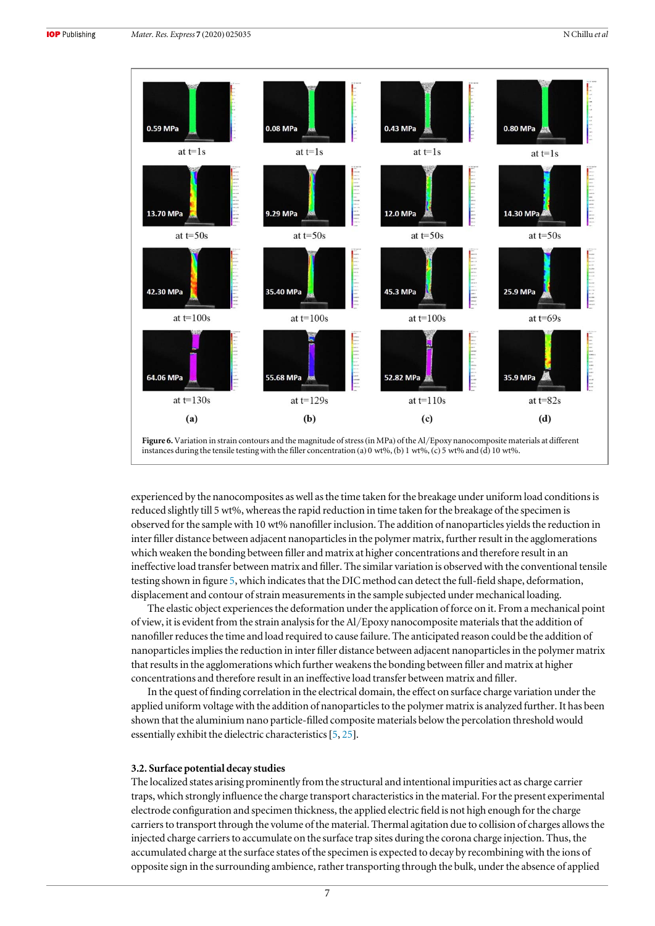

experienced by the nanocomposites as well as the time taken for the breakage under uniform load conditions is reduced slightly till 5 wt%, whereas the rapid reduction in time taken for the breakage of the specimen is observed for the sample with 10 wt% nanofiller inclusion. The addition of nanoparticles yields the reduction in inter filler distance between adjacent nanoparticles in the polymer matrix, further result in the agglomerations which weaken the bonding between filler and matrix at higher concentrations and therefore result in an ineffective load transfer between matrix and filler. The similar variation is observed with the conventional tensile testing shown in figure 5, which indicates that the DIC method can detect the full-field shape, deformation, displacement and contour of strain measurements in the sample subjected under mechanical loading.

The elastic object experiences the deformation under the application of force on it. From a mechanical point of view, it is evident from the strain analysis for the Al/Epoxy nanocomposite materials that the addition of nanofiller reduces the time and load required to cause failure. The anticipated reason could be the addition of nanoparticles implies the reduction in inter filler distance between adjacent nanoparticles in the polymer matrix that results in the agglomerations which further weakens the bonding between filler and matrix at higher concentrations and therefore result in an ineffective load transfer between matrix and filler.

In the quest of finding correlation in the electrical domain, the effect on surface charge variation under the applied uniform voltage with the addition of nanoparticles to the polymer matrix is analyzed further. It has been shown that the aluminium nano particle-filled composite materials below the percolation threshold would essentially exhibit the dielectric characteristics[5, 25].

#### 3.2. Surface potential decay studies

The localized states arising prominently from the structural and intentional impurities act as charge carrier traps, which strongly influence the charge transport characteristics in the material. For the present experimental electrode configuration and specimen thickness, the applied electric field is not high enough for the charge carriers to transport through the volume of the material. Thermal agitation due to collision of charges allows the injected charge carriers to accumulate on the surface trap sites during the corona charge injection. Thus, the accumulated charge at the surface states of the specimen is expected to decay by recombining with the ions of opposite sign in the surrounding ambience, rather transporting through the bulk, under the absence of applied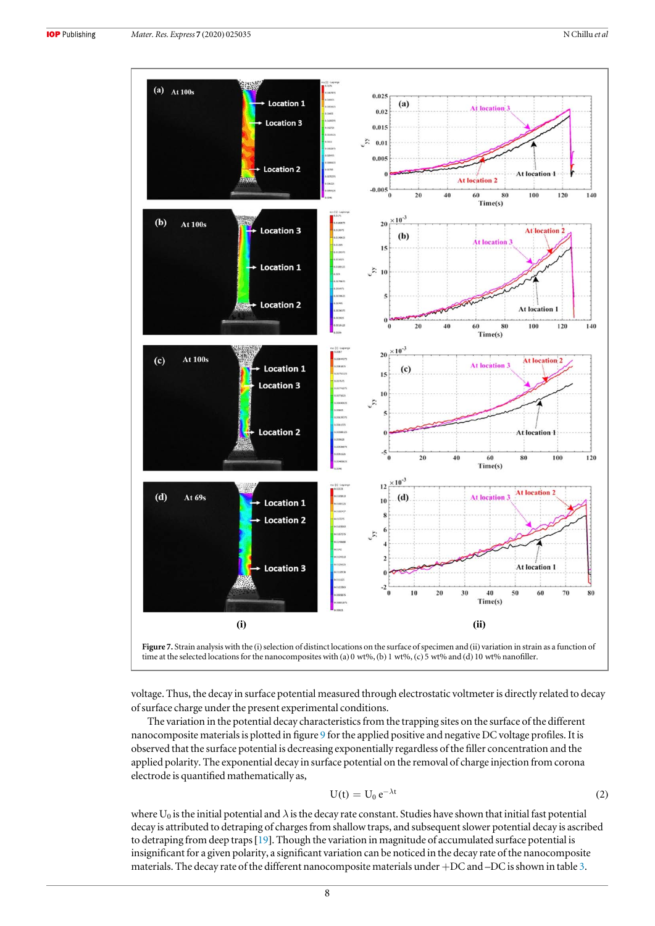

voltage. Thus, the decay in surface potential measured through electrostatic voltmeter is directly related to decay of surface charge under the present experimental conditions.

The variation in the potential decay characteristics from the trapping sites on the surface of the different nanocomposite materials is plotted in figure 9 for the applied positive and negative DC voltage profiles. It is observed that the surface potential is decreasing exponentially regardless of the filler concentration and the applied polarity. The exponential decay in surface potential on the removal of charge injection from corona electrode is quantified mathematically as,

$$
U(t) = U_0 e^{-\lambda t}
$$
 (2)

where  $U_0$  is the initial potential and  $\lambda$  is the decay rate constant. Studies have shown that initial fast potential decay is attributed to detraping of charges from shallow traps, and subsequent slower potential decay is ascribed to detraping from deep traps[19]. Though the variation in magnitude of accumulated surface potential is insignificant for a given polarity, a significant variation can be noticed in the decay rate of the nanocomposite materials. The decay rate of the different nanocomposite materials under +DC and –DC is shown in table 3.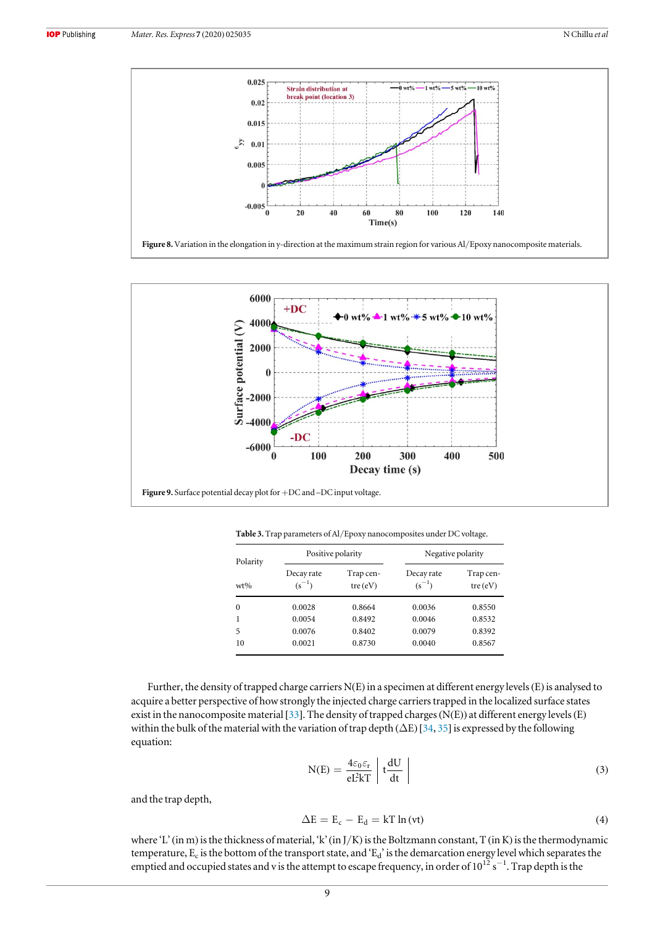



Table 3. Trap parameters of Al/Epoxy nanocomposites under DC voltage.

| Polarity |                          | Positive polarity     | Negative polarity        |                       |  |
|----------|--------------------------|-----------------------|--------------------------|-----------------------|--|
| $wt\%$   | Decay rate<br>$(s^{-1})$ | Trap cen-<br>tre (eV) | Decay rate<br>$(s^{-1})$ | Trap cen-<br>tre (eV) |  |
| $\Omega$ | 0.0028                   | 0.8664                | 0.0036                   | 0.8550                |  |
|          | 0.0054                   | 0.8492                | 0.0046                   | 0.8532                |  |
| 5        | 0.0076                   | 0.8402                | 0.0079                   | 0.8392                |  |
| 10       | 0.0021                   | 0.8730                | 0.0040                   | 0.8567                |  |

Further, the density of trapped charge carriers N(E) in a specimen at different energy levels(E) is analysed to acquire a better perspective of how strongly the injected charge carriers trapped in the localized surface states exist in the nanocomposite material [33]. The density of trapped charges(N(E)) at different energy levels(E) within the bulk of the material with the variation of trap depth  $(\Delta E)$  [34, 35] is expressed by the following equation:

$$
N(E) = \frac{4\varepsilon_0 \varepsilon_r}{eL^2 kT} \left| t \frac{dU}{dt} \right|
$$
 (3)

and the trap depth,

$$
\Delta E = E_c - E_d = kT \ln(vt)
$$
\n(4)

where 'L'(in m) is the thickness of material, 'k'(in J/K) is the Boltzmann constant, T (in K) is the thermodynamic temperature,  $E_c$  is the bottom of the transport state, and ' $E_d$ ' is the demarcation energy level which separates the emptied and occupied states and v is the attempt to escape frequency, in order of 10<sup>12</sup> s<sup>-1</sup>. Trap depth is the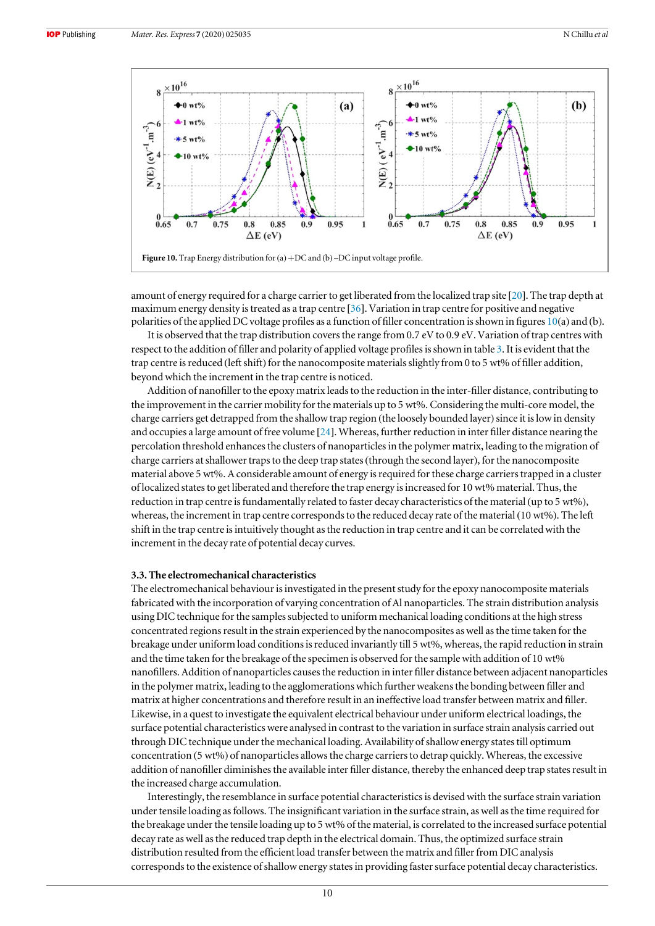

amount of energy required for a charge carrier to get liberated from the localized trap site [20]. The trap depth at maximum energy density is treated as a trap centre [36]. Variation in trap centre for positive and negative polarities of the applied DC voltage profiles as a function of filler concentration is shown in figures 10(a) and (b).

It is observed that the trap distribution covers the range from 0.7 eV to 0.9 eV. Variation of trap centres with respect to the addition of filler and polarity of applied voltage profiles is shown in table 3. It is evident that the trap centre is reduced (left shift) for the nanocomposite materials slightly from 0 to 5 wt% of filler addition, beyond which the increment in the trap centre is noticed.

Addition of nanofiller to the epoxy matrix leads to the reduction in the inter-filler distance, contributing to the improvement in the carrier mobility for the materials up to 5 wt%. Considering the multi-core model, the charge carriers get detrapped from the shallow trap region (the loosely bounded layer) since it is low in density and occupies a large amount of free volume [24]. Whereas, further reduction in inter filler distance nearing the percolation threshold enhances the clusters of nanoparticles in the polymer matrix, leading to the migration of charge carriers at shallower traps to the deep trap states(through the second layer), for the nanocomposite material above 5 wt%. A considerable amount of energy is required for these charge carriers trapped in a cluster of localized states to get liberated and therefore the trap energy is increased for 10 wt% material. Thus, the reduction in trap centre is fundamentally related to faster decay characteristics of the material (up to 5 wt%), whereas, the increment in trap centre corresponds to the reduced decay rate of the material (10 wt%). The left shift in the trap centre is intuitively thought as the reduction in trap centre and it can be correlated with the increment in the decay rate of potential decay curves.

#### 3.3. The electromechanical characteristics

The electromechanical behaviour is investigated in the present study for the epoxy nanocomposite materials fabricated with the incorporation of varying concentration of Al nanoparticles. The strain distribution analysis using DIC technique for the samples subjected to uniform mechanical loading conditions at the high stress concentrated regions result in the strain experienced by the nanocomposites as well as the time taken for the breakage under uniform load conditions is reduced invariantly till 5 wt%, whereas, the rapid reduction in strain and the time taken for the breakage of the specimen is observed for the sample with addition of 10 wt% nanofillers. Addition of nanoparticles causes the reduction in inter filler distance between adjacent nanoparticles in the polymer matrix, leading to the agglomerations which further weakens the bonding between filler and matrix at higher concentrations and therefore result in an ineffective load transfer between matrix and filler. Likewise, in a quest to investigate the equivalent electrical behaviour under uniform electrical loadings, the surface potential characteristics were analysed in contrast to the variation in surface strain analysis carried out through DIC technique under the mechanical loading. Availability of shallow energy states till optimum concentration (5 wt%) of nanoparticles allows the charge carriers to detrap quickly. Whereas, the excessive addition of nanofiller diminishes the available inter filler distance, thereby the enhanced deep trap states result in the increased charge accumulation.

Interestingly, the resemblance in surface potential characteristics is devised with the surface strain variation under tensile loading as follows. The insignificant variation in the surface strain, as well as the time required for the breakage under the tensile loading up to 5 wt% of the material, is correlated to the increased surface potential decay rate as well as the reduced trap depth in the electrical domain. Thus, the optimized surface strain distribution resulted from the efficient load transfer between the matrix and filler from DIC analysis corresponds to the existence of shallow energy states in providing faster surface potential decay characteristics.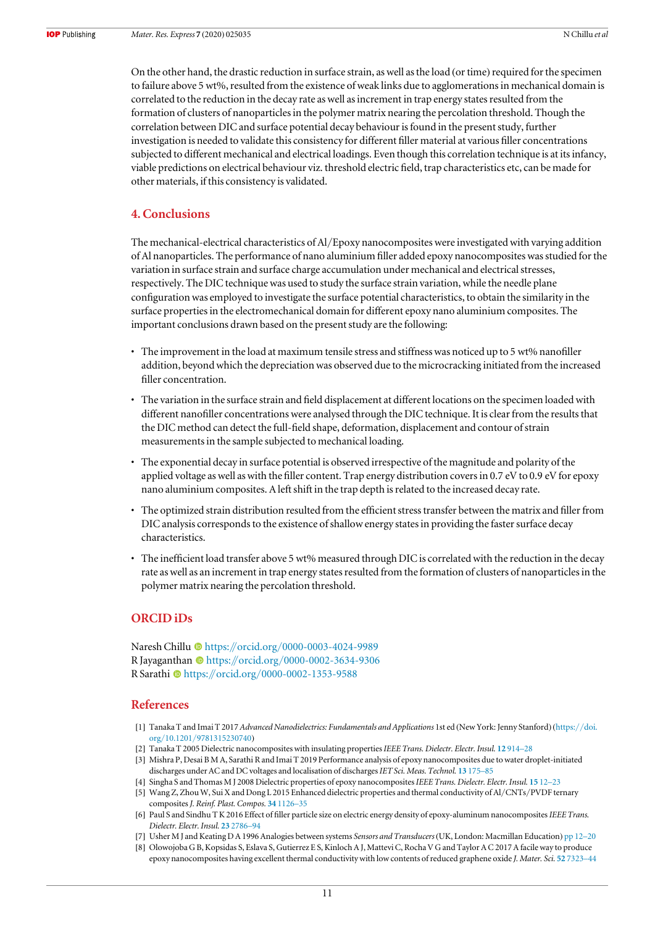On the other hand, the drastic reduction in surface strain, as well as the load (or time) required for the specimen to failure above 5 wt%, resulted from the existence of weak links due to agglomerations in mechanical domain is correlated to the reduction in the decay rate as well as increment in trap energy states resulted from the formation of clusters of nanoparticles in the polymer matrix nearing the percolation threshold. Though the correlation between DIC and surface potential decay behaviour is found in the present study, further investigation is needed to validate this consistency for different filler material at various filler concentrations subjected to different mechanical and electrical loadings. Even though this correlation technique is at its infancy, viable predictions on electrical behaviour viz. threshold electric field, trap characteristics etc, can be made for other materials, if this consistency is validated.

### 4. Conclusions

The mechanical-electrical characteristics of Al/Epoxy nanocomposites were investigated with varying addition of Al nanoparticles. The performance of nano aluminium filler added epoxy nanocomposites was studied for the variation in surface strain and surface charge accumulation under mechanical and electrical stresses, respectively. The DIC technique was used to study the surface strain variation, while the needle plane configuration was employed to investigate the surface potential characteristics, to obtain the similarity in the surface properties in the electromechanical domain for different epoxy nano aluminium composites. The important conclusions drawn based on the present study are the following:

- The improvement in the load at maximum tensile stress and stiffness was noticed up to 5 wt% nanofiller addition, beyond which the depreciation was observed due to the microcracking initiated from the increased filler concentration.
- The variation in the surface strain and field displacement at different locations on the specimen loaded with different nanofiller concentrations were analysed through the DIC technique. It is clear from the results that the DIC method can detect the full-field shape, deformation, displacement and contour of strain measurements in the sample subjected to mechanical loading.
- The exponential decay in surface potential is observed irrespective of the magnitude and polarity of the applied voltage as well as with the filler content. Trap energy distribution covers in 0.7 eV to 0.9 eV for epoxy nano aluminium composites. A left shift in the trap depth is related to the increased decay rate.
- The optimized strain distribution resulted from the efficient stress transfer between the matrix and filler from DIC analysis corresponds to the existence of shallow energy states in providing the faster surface decay characteristics.
- The inefficient load transfer above 5 wt% measured through DIC is correlated with the reduction in the decay rate as well as an increment in trap energy states resulted from the formation of clusters of nanoparticles in the polymer matrix nearing the percolation threshold.

## ORCID iDs

Naresh Chillu thttps://orcid.org/0000-0003-4024-9989 R Jayaganthan Chttps://orcid.org/0000-0002-3634-9306 R Sarathi https://orcid.org/0000-0002-1353-9588

## References

- [1] Tanaka T and Imai T 2017 *Advanced Nanodielectrics: Fundamentals and Applications* 1st ed (New York: Jenny Stanford) (https://doi. org/10.1201/9781315230740)
- [2] Tanaka T 2005 Dielectric nanocomposites with insulating properties*IEEE Trans. Dielectr. Electr. Insul.* 12 914–28
- [3] Mishra P, Desai B M A, Sarathi R and Imai T 2019 Performance analysis of epoxy nanocomposites due to water droplet-initiated discharges under AC and DC voltages and localisation of discharges*IET Sci. Meas. Technol.* 13 175–85
- [4] Singha S and Thomas M J 2008 Dielectric properties of epoxy nanocomposites*IEEE Trans. Dielectr. Electr. Insul.* 15 12–23
- [5] Wang Z, Zhou W, Sui X and Dong L 2015 Enhanced dielectric properties and thermal conductivity of Al/CNTs/PVDF ternary composites*J. Reinf. Plast. Compos.* 34 1126–35
- [6] Paul S and Sindhu T K 2016 Effect of filler particle size on electric energy density of epoxy-aluminum nanocomposites*IEEE Trans. Dielectr. Electr. Insul.* 23 2786–94
- [7] Usher M J and Keating D A 1996 Analogies between systems *Sensors and Transducers* (UK, London: Macmillan Education) pp 12–20
- [8] Olowojoba G B, Kopsidas S, Eslava S, Gutierrez E S, Kinloch A J, Mattevi C, Rocha V G and Taylor A C 2017 A facile way to produce epoxy nanocomposites having excellent thermal conductivity with low contents of reduced graphene oxide *J. Mater. Sci.* 52 7323–44